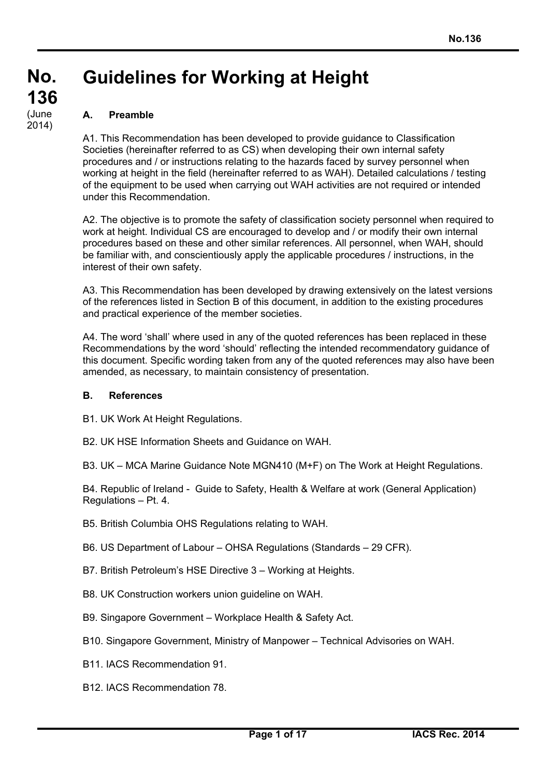# **Guidelines for Working at Height**

# **A. Preamble**

A1. This Recommendation has been developed to provide guidance to Classification Societies (hereinafter referred to as CS) when developing their own internal safety procedures and / or instructions relating to the hazards faced by survey personnel when working at height in the field (hereinafter referred to as WAH). Detailed calculations / testing of the equipment to be used when carrying out WAH activities are not required or intended under this Recommendation.

A2. The objective is to promote the safety of classification society personnel when required to work at height. Individual CS are encouraged to develop and / or modify their own internal procedures based on these and other similar references. All personnel, when WAH, should be familiar with, and conscientiously apply the applicable procedures / instructions, in the interest of their own safety.

A3. This Recommendation has been developed by drawing extensively on the latest versions of the references listed in Section B of this document, in addition to the existing procedures and practical experience of the member societies.

A4. The word 'shall' where used in any of the quoted references has been replaced in these Recommendations by the word 'should' reflecting the intended recommendatory guidance of this document. Specific wording taken from any of the quoted references may also have been amended, as necessary, to maintain consistency of presentation.

#### **B. References**

- B1. UK Work At Height Regulations.
- B2. UK HSE Information Sheets and Guidance on WAH.
- B3. UK MCA Marine Guidance Note MGN410 (M+F) on The Work at Height Regulations.

B4. Republic of Ireland - Guide to Safety, Health & Welfare at work (General Application) Regulations – Pt. 4.

- B5. British Columbia OHS Regulations relating to WAH.
- B6. US Department of Labour OHSA Regulations (Standards 29 CFR).
- B7. British Petroleum's HSE Directive 3 Working at Heights.
- B8. UK Construction workers union guideline on WAH.
- B9. Singapore Government Workplace Health & Safety Act.
- B10. Singapore Government, Ministry of Manpower Technical Advisories on WAH.
- B11. IACS Recommendation 91.
- B12. IACS Recommendation 78.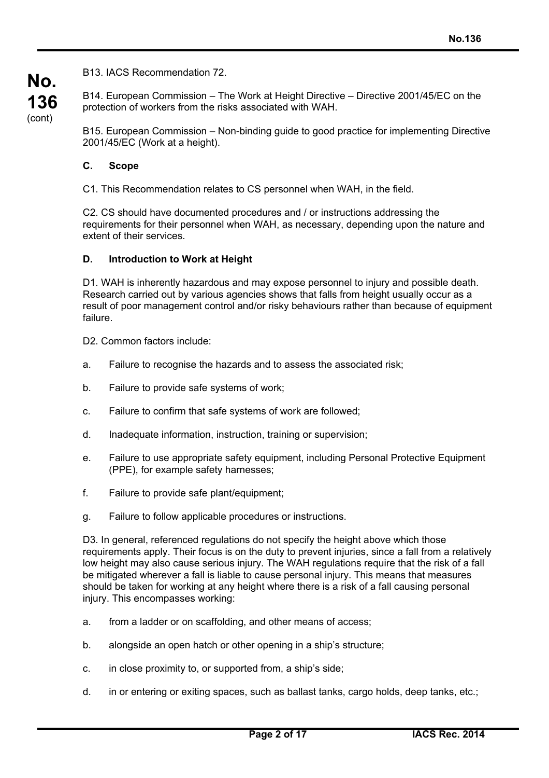B13. IACS Recommendation 72.

B14. European Commission – The Work at Height Directive – Directive 2001/45/EC on the protection of workers from the risks associated with WAH.

B15. European Commission – Non-binding guide to good practice for implementing Directive 2001/45/EC (Work at a height).

#### **C. Scope**

**No.**

**136** (cont)

C1. This Recommendation relates to CS personnel when WAH, in the field.

C2. CS should have documented procedures and / or instructions addressing the requirements for their personnel when WAH, as necessary, depending upon the nature and extent of their services.

#### **D. Introduction to Work at Height**

D1. WAH is inherently hazardous and may expose personnel to injury and possible death. Research carried out by various agencies shows that falls from height usually occur as a result of poor management control and/or risky behaviours rather than because of equipment failure.

D<sub>2</sub>. Common factors include:

- a. Failure to recognise the hazards and to assess the associated risk;
- b. Failure to provide safe systems of work;
- c. Failure to confirm that safe systems of work are followed;
- d. Inadequate information, instruction, training or supervision;
- e. Failure to use appropriate safety equipment, including Personal Protective Equipment (PPE), for example safety harnesses;
- f. Failure to provide safe plant/equipment;
- g. Failure to follow applicable procedures or instructions.

D3. In general, referenced regulations do not specify the height above which those requirements apply. Their focus is on the duty to prevent injuries, since a fall from a relatively low height may also cause serious injury. The WAH regulations require that the risk of a fall be mitigated wherever a fall is liable to cause personal injury. This means that measures should be taken for working at any height where there is a risk of a fall causing personal injury. This encompasses working:

- a. from a ladder or on scaffolding, and other means of access;
- b. alongside an open hatch or other opening in a ship's structure;
- c. in close proximity to, or supported from, a ship's side;
- d. in or entering or exiting spaces, such as ballast tanks, cargo holds, deep tanks, etc.;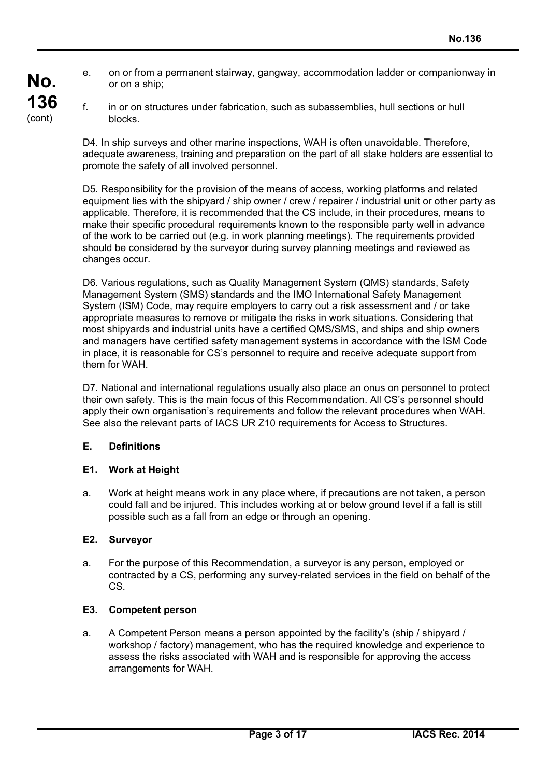- e. on or from a permanent stairway, gangway, accommodation ladder or companionway in or on a ship;
- f. in or on structures under fabrication, such as subassemblies, hull sections or hull blocks.

D4. In ship surveys and other marine inspections, WAH is often unavoidable. Therefore, adequate awareness, training and preparation on the part of all stake holders are essential to promote the safety of all involved personnel.

D5. Responsibility for the provision of the means of access, working platforms and related equipment lies with the shipyard / ship owner / crew / repairer / industrial unit or other party as applicable. Therefore, it is recommended that the CS include, in their procedures, means to make their specific procedural requirements known to the responsible party well in advance of the work to be carried out (e.g. in work planning meetings). The requirements provided should be considered by the surveyor during survey planning meetings and reviewed as changes occur.

D6. Various regulations, such as Quality Management System (QMS) standards, Safety Management System (SMS) standards and the IMO International Safety Management System (ISM) Code, may require employers to carry out a risk assessment and / or take appropriate measures to remove or mitigate the risks in work situations. Considering that most shipyards and industrial units have a certified QMS/SMS, and ships and ship owners and managers have certified safety management systems in accordance with the ISM Code in place, it is reasonable for CS's personnel to require and receive adequate support from them for WAH.

D7. National and international regulations usually also place an onus on personnel to protect their own safety. This is the main focus of this Recommendation. All CS's personnel should apply their own organisation's requirements and follow the relevant procedures when WAH. See also the relevant parts of IACS UR Z10 requirements for Access to Structures.

# **E. Definitions**

#### **E1. Work at Height**

a. Work at height means work in any place where, if precautions are not taken, a person could fall and be injured. This includes working at or below ground level if a fall is still possible such as a fall from an edge or through an opening.

#### **E2. Surveyor**

a. For the purpose of this Recommendation, a surveyor is any person, employed or contracted by a CS, performing any survey-related services in the field on behalf of the CS.

#### **E3. Competent person**

a. A Competent Person means a person appointed by the facility's (ship / shipyard / workshop / factory) management, who has the required knowledge and experience to assess the risks associated with WAH and is responsible for approving the access arrangements for WAH.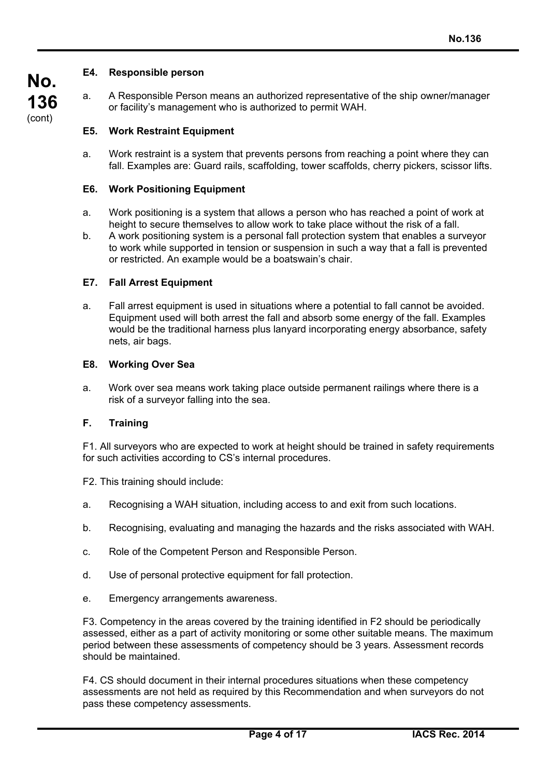# **No. 136** (cont)

## **E4. Responsible person**

a. A Responsible Person means an authorized representative of the ship owner/manager or facility's management who is authorized to permit WAH.

# **E5. Work Restraint Equipment**

a. Work restraint is a system that prevents persons from reaching a point where they can fall. Examples are: Guard rails, scaffolding, tower scaffolds, cherry pickers, scissor lifts.

### **E6. Work Positioning Equipment**

- a. Work positioning is a system that allows a person who has reached a point of work at height to secure themselves to allow work to take place without the risk of a fall.
- b. A work positioning system is a personal fall protection system that enables a surveyor to work while supported in tension or suspension in such a way that a fall is prevented or restricted. An example would be a boatswain's chair.

## **E7. Fall Arrest Equipment**

a. Fall arrest equipment is used in situations where a potential to fall cannot be avoided. Equipment used will both arrest the fall and absorb some energy of the fall. Examples would be the traditional harness plus lanyard incorporating energy absorbance, safety nets, air bags.

#### **E8. Working Over Sea**

a. Work over sea means work taking place outside permanent railings where there is a risk of a surveyor falling into the sea.

# **F. Training**

F1. All surveyors who are expected to work at height should be trained in safety requirements for such activities according to CS's internal procedures.

- F2. This training should include:
- a. Recognising a WAH situation, including access to and exit from such locations.
- b. Recognising, evaluating and managing the hazards and the risks associated with WAH.
- c. Role of the Competent Person and Responsible Person.
- d. Use of personal protective equipment for fall protection.
- e. Emergency arrangements awareness.

F3. Competency in the areas covered by the training identified in F2 should be periodically assessed, either as a part of activity monitoring or some other suitable means. The maximum period between these assessments of competency should be 3 years. Assessment records should be maintained.

F4. CS should document in their internal procedures situations when these competency assessments are not held as required by this Recommendation and when surveyors do not pass these competency assessments.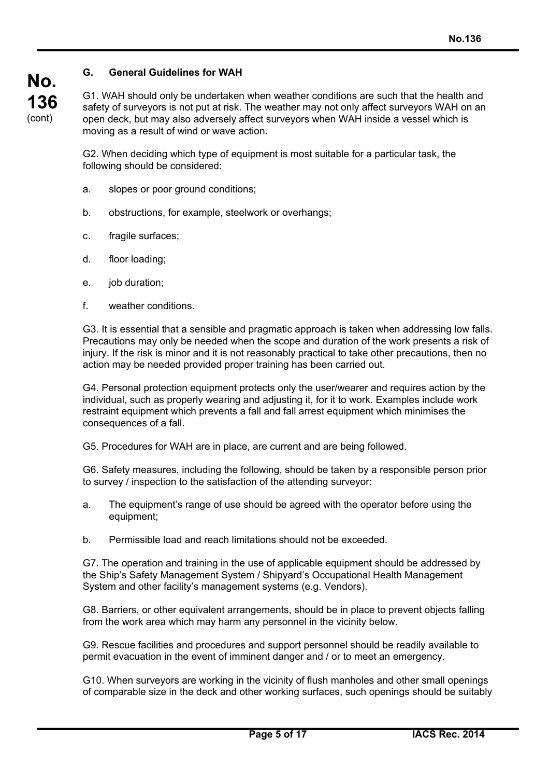# **G. General Guidelines for WAH**

G1. WAH should only be undertaken when weather conditions are such that the health and safety of surveyors is not put at risk. The weather may not only affect surveyors WAH on an open deck, but may also adversely affect surveyors when WAH inside a vessel which is moving as a result of wind or wave action.

G2. When deciding which type of equipment is most suitable for a particular task, the following should be considered:

- a. slopes or poor ground conditions;
- b. obstructions, for example, steelwork or overhangs;
- c. fragile surfaces;
- d. floor loading;
- e. job duration;
- f. weather conditions.

G3. It is essential that a sensible and pragmatic approach is taken when addressing low falls. Precautions may only be needed when the scope and duration of the work presents a risk of injury. If the risk is minor and it is not reasonably practical to take other precautions, then no action may be needed provided proper training has been carried out.

G4. Personal protection equipment protects only the user/wearer and requires action by the individual, such as properly wearing and adjusting it, for it to work. Examples include work restraint equipment which prevents a fall and fall arrest equipment which minimises the consequences of a fall.

G5. Procedures for WAH are in place, are current and are being followed.

G6. Safety measures, including the following, should be taken by a responsible person prior to survey / inspection to the satisfaction of the attending surveyor:

- a. The equipment's range of use should be agreed with the operator before using the equipment;
- b. Permissible load and reach limitations should not be exceeded.

G7. The operation and training in the use of applicable equipment should be addressed by the Ship's Safety Management System / Shipyard's Occupational Health Management System and other facility's management systems (e.g. Vendors).

G8. Barriers, or other equivalent arrangements, should be in place to prevent objects falling from the work area which may harm any personnel in the vicinity below.

G9. Rescue facilities and procedures and support personnel should be readily available to permit evacuation in the event of imminent danger and / or to meet an emergency.

G10. When surveyors are working in the vicinity of flush manholes and other small openings of comparable size in the deck and other working surfaces, such openings should be suitably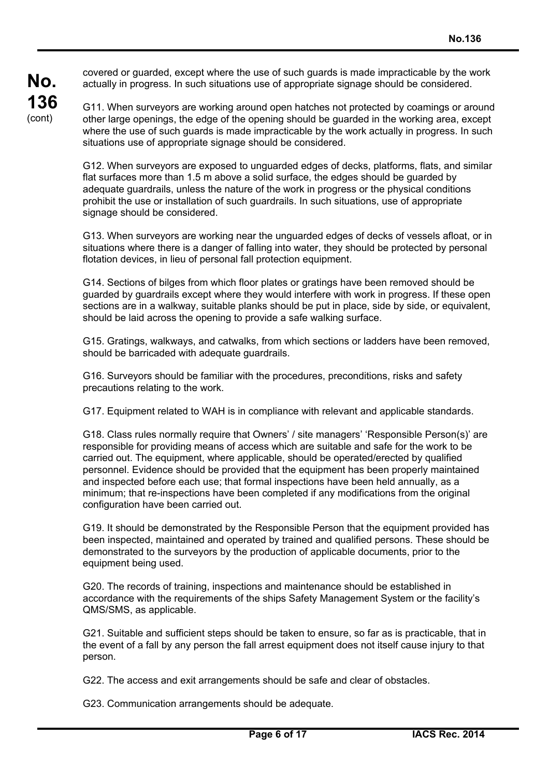covered or guarded, except where the use of such guards is made impracticable by the work actually in progress. In such situations use of appropriate signage should be considered.

**No.**

**136** (cont)

G11. When surveyors are working around open hatches not protected by coamings or around other large openings, the edge of the opening should be guarded in the working area, except where the use of such guards is made impracticable by the work actually in progress. In such situations use of appropriate signage should be considered.

G12. When surveyors are exposed to unguarded edges of decks, platforms, flats, and similar flat surfaces more than 1.5 m above a solid surface, the edges should be guarded by adequate guardrails, unless the nature of the work in progress or the physical conditions prohibit the use or installation of such guardrails. In such situations, use of appropriate signage should be considered.

G13. When surveyors are working near the unguarded edges of decks of vessels afloat, or in situations where there is a danger of falling into water, they should be protected by personal flotation devices, in lieu of personal fall protection equipment.

G14. Sections of bilges from which floor plates or gratings have been removed should be guarded by guardrails except where they would interfere with work in progress. If these open sections are in a walkway, suitable planks should be put in place, side by side, or equivalent, should be laid across the opening to provide a safe walking surface.

G15. Gratings, walkways, and catwalks, from which sections or ladders have been removed, should be barricaded with adequate quardrails.

G16. Surveyors should be familiar with the procedures, preconditions, risks and safety precautions relating to the work.

G17. Equipment related to WAH is in compliance with relevant and applicable standards.

G18. Class rules normally require that Owners' / site managers' 'Responsible Person(s)' are responsible for providing means of access which are suitable and safe for the work to be carried out. The equipment, where applicable, should be operated/erected by qualified personnel. Evidence should be provided that the equipment has been properly maintained and inspected before each use; that formal inspections have been held annually, as a minimum; that re-inspections have been completed if any modifications from the original configuration have been carried out.

G19. It should be demonstrated by the Responsible Person that the equipment provided has been inspected, maintained and operated by trained and qualified persons. These should be demonstrated to the surveyors by the production of applicable documents, prior to the equipment being used.

G20. The records of training, inspections and maintenance should be established in accordance with the requirements of the ships Safety Management System or the facility's QMS/SMS, as applicable.

G21. Suitable and sufficient steps should be taken to ensure, so far as is practicable, that in the event of a fall by any person the fall arrest equipment does not itself cause injury to that person.

G22. The access and exit arrangements should be safe and clear of obstacles.

G23. Communication arrangements should be adequate.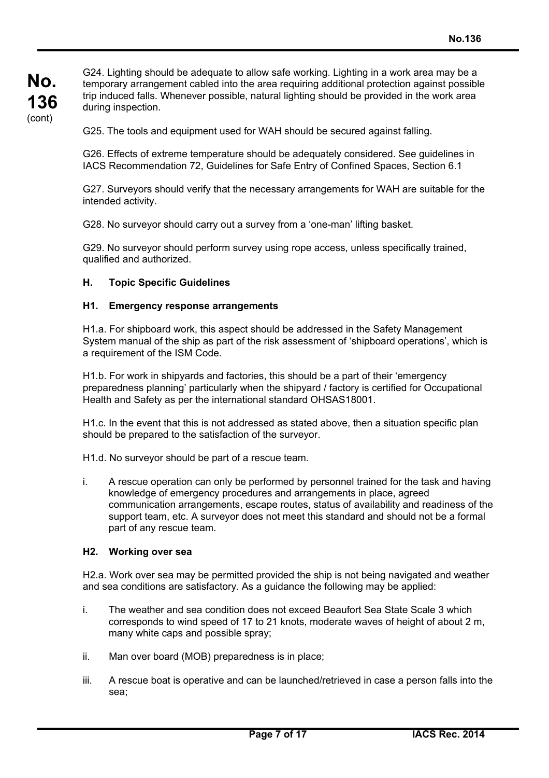**No. 136** (cont)

G24. Lighting should be adequate to allow safe working. Lighting in a work area may be a temporary arrangement cabled into the area requiring additional protection against possible trip induced falls. Whenever possible, natural lighting should be provided in the work area during inspection.

G25. The tools and equipment used for WAH should be secured against falling.

G26. Effects of extreme temperature should be adequately considered. See guidelines in IACS Recommendation 72, Guidelines for Safe Entry of Confined Spaces, Section 6.1

G27. Surveyors should verify that the necessary arrangements for WAH are suitable for the intended activity.

G28. No surveyor should carry out a survey from a 'one-man' lifting basket.

G29. No surveyor should perform survey using rope access, unless specifically trained, qualified and authorized.

#### **H. Topic Specific Guidelines**

#### **H1. Emergency response arrangements**

H1.a. For shipboard work, this aspect should be addressed in the Safety Management System manual of the ship as part of the risk assessment of 'shipboard operations', which is a requirement of the ISM Code.

H1.b. For work in shipyards and factories, this should be a part of their 'emergency preparedness planning' particularly when the shipyard / factory is certified for Occupational Health and Safety as per the international standard OHSAS18001.

H1.c. In the event that this is not addressed as stated above, then a situation specific plan should be prepared to the satisfaction of the surveyor.

H1.d. No surveyor should be part of a rescue team.

i. A rescue operation can only be performed by personnel trained for the task and having knowledge of emergency procedures and arrangements in place, agreed communication arrangements, escape routes, status of availability and readiness of the support team, etc. A surveyor does not meet this standard and should not be a formal part of any rescue team.

#### **H2. Working over sea**

H2.a. Work over sea may be permitted provided the ship is not being navigated and weather and sea conditions are satisfactory. As a guidance the following may be applied:

- i. The weather and sea condition does not exceed Beaufort Sea State Scale 3 which corresponds to wind speed of 17 to 21 knots, moderate waves of height of about 2 m, many white caps and possible spray;
- ii. Man over board (MOB) preparedness is in place;
- iii. A rescue boat is operative and can be launched/retrieved in case a person falls into the sea;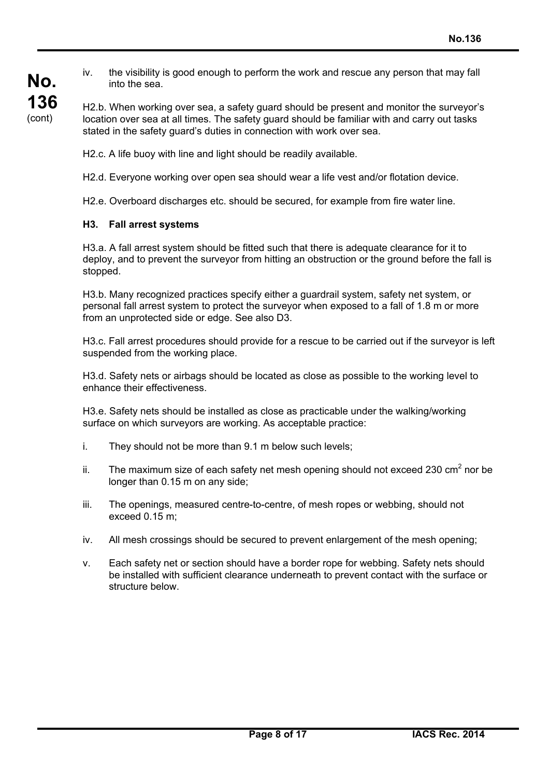iv. the visibility is good enough to perform the work and rescue any person that may fall into the sea.

H2.b. When working over sea, a safety guard should be present and monitor the surveyor's location over sea at all times. The safety guard should be familiar with and carry out tasks stated in the safety guard's duties in connection with work over sea.

H2.c. A life buoy with line and light should be readily available.

H2.d. Everyone working over open sea should wear a life vest and/or flotation device.

H2.e. Overboard discharges etc. should be secured, for example from fire water line.

#### **H3. Fall arrest systems**

H3.a. A fall arrest system should be fitted such that there is adequate clearance for it to deploy, and to prevent the surveyor from hitting an obstruction or the ground before the fall is stopped.

H3.b. Many recognized practices specify either a guardrail system, safety net system, or personal fall arrest system to protect the surveyor when exposed to a fall of 1.8 m or more from an unprotected side or edge. See also D3.

H3.c. Fall arrest procedures should provide for a rescue to be carried out if the surveyor is left suspended from the working place.

H3.d. Safety nets or airbags should be located as close as possible to the working level to enhance their effectiveness.

H3.e. Safety nets should be installed as close as practicable under the walking/working surface on which surveyors are working. As acceptable practice:

- i. They should not be more than 9.1 m below such levels;
- ii. The maximum size of each safety net mesh opening should not exceed 230 cm<sup>2</sup> nor be longer than 0.15 m on any side;
- iii. The openings, measured centre-to-centre, of mesh ropes or webbing, should not exceed 0.15 m;
- iv. All mesh crossings should be secured to prevent enlargement of the mesh opening;
- v. Each safety net or section should have a border rope for webbing. Safety nets should be installed with sufficient clearance underneath to prevent contact with the surface or structure below.

**No.**

**136** (cont)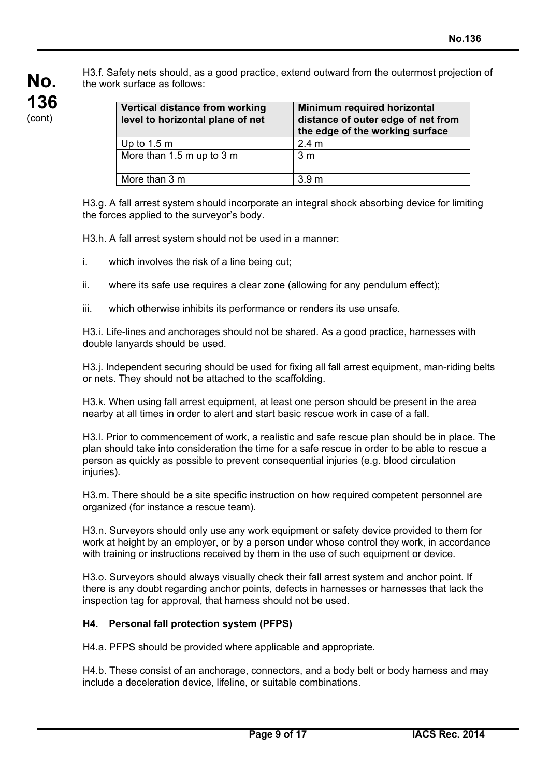H3.f. Safety nets should, as a good practice, extend outward from the outermost projection of the work surface as follows:

| <b>Vertical distance from working</b><br>level to horizontal plane of net | Minimum required horizontal<br>distance of outer edge of net from<br>the edge of the working surface |
|---------------------------------------------------------------------------|------------------------------------------------------------------------------------------------------|
| Up to $1.5 \text{ m}$                                                     | 2.4 <sub>m</sub>                                                                                     |
| More than 1.5 m up to 3 m                                                 | 3 m                                                                                                  |
| More than 3 m                                                             | 3.9 <sub>m</sub>                                                                                     |

H3.g. A fall arrest system should incorporate an integral shock absorbing device for limiting the forces applied to the surveyor's body.

H3.h. A fall arrest system should not be used in a manner:

- i. which involves the risk of a line being cut;
- ii. where its safe use requires a clear zone (allowing for any pendulum effect);
- iii. which otherwise inhibits its performance or renders its use unsafe.

H3.i. Life-lines and anchorages should not be shared. As a good practice, harnesses with double lanyards should be used.

H3.j. Independent securing should be used for fixing all fall arrest equipment, man-riding belts or nets. They should not be attached to the scaffolding.

H3.k. When using fall arrest equipment, at least one person should be present in the area nearby at all times in order to alert and start basic rescue work in case of a fall.

H3.l. Prior to commencement of work, a realistic and safe rescue plan should be in place. The plan should take into consideration the time for a safe rescue in order to be able to rescue a person as quickly as possible to prevent consequential injuries (e.g. blood circulation iniuries).

H3.m. There should be a site specific instruction on how required competent personnel are organized (for instance a rescue team).

H3.n. Surveyors should only use any work equipment or safety device provided to them for work at height by an employer, or by a person under whose control they work, in accordance with training or instructions received by them in the use of such equipment or device.

H3.o. Surveyors should always visually check their fall arrest system and anchor point. If there is any doubt regarding anchor points, defects in harnesses or harnesses that lack the inspection tag for approval, that harness should not be used.

#### **H4. Personal fall protection system (PFPS)**

H4.a. PFPS should be provided where applicable and appropriate.

H4.b. These consist of an anchorage, connectors, and a body belt or body harness and may include a deceleration device, lifeline, or suitable combinations.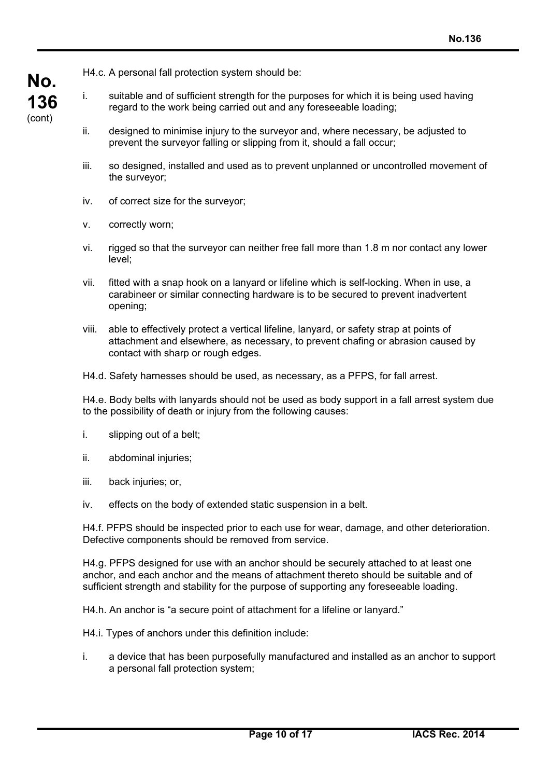H4.c. A personal fall protection system should be:

- i. suitable and of sufficient strength for the purposes for which it is being used having regard to the work being carried out and any foreseeable loading;
- ii. designed to minimise injury to the surveyor and, where necessary, be adjusted to prevent the surveyor falling or slipping from it, should a fall occur;
- iii. so designed, installed and used as to prevent unplanned or uncontrolled movement of the surveyor;
- iv. of correct size for the surveyor;
- v. correctly worn;
- vi. rigged so that the surveyor can neither free fall more than 1.8 m nor contact any lower level;
- vii. fitted with a snap hook on a lanyard or lifeline which is self-locking. When in use, a carabineer or similar connecting hardware is to be secured to prevent inadvertent opening;
- viii. able to effectively protect a vertical lifeline, lanyard, or safety strap at points of attachment and elsewhere, as necessary, to prevent chafing or abrasion caused by contact with sharp or rough edges.
- H4.d. Safety harnesses should be used, as necessary, as a PFPS, for fall arrest.

H4.e. Body belts with lanyards should not be used as body support in a fall arrest system due to the possibility of death or injury from the following causes:

- i. slipping out of a belt;
- ii. abdominal injuries;
- iii. back injuries; or,
- iv. effects on the body of extended static suspension in a belt.

H4.f. PFPS should be inspected prior to each use for wear, damage, and other deterioration. Defective components should be removed from service.

H4.g. PFPS designed for use with an anchor should be securely attached to at least one anchor, and each anchor and the means of attachment thereto should be suitable and of sufficient strength and stability for the purpose of supporting any foreseeable loading.

H4.h. An anchor is "a secure point of attachment for a lifeline or lanyard."

- H4.i. Types of anchors under this definition include:
- i. a device that has been purposefully manufactured and installed as an anchor to support a personal fall protection system;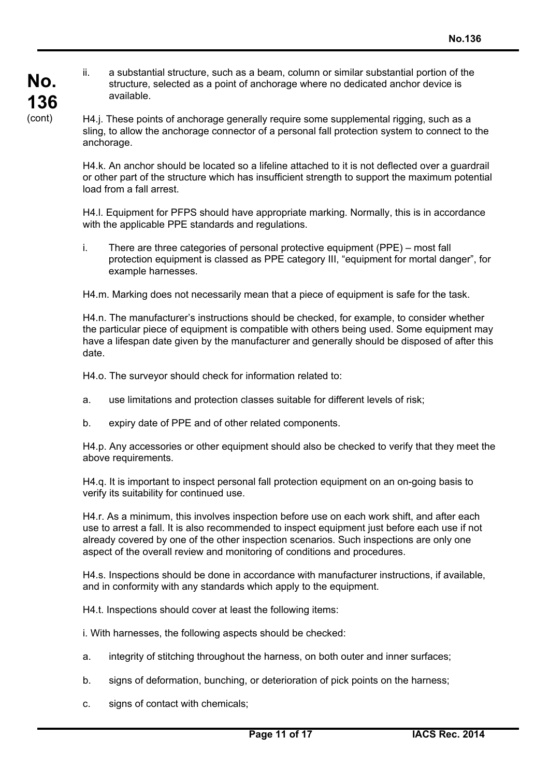- **No. 136** (cont)
- ii. a substantial structure, such as a beam, column or similar substantial portion of the structure, selected as a point of anchorage where no dedicated anchor device is available.

H4.j. These points of anchorage generally require some supplemental rigging, such as a sling, to allow the anchorage connector of a personal fall protection system to connect to the anchorage.

H4.k. An anchor should be located so a lifeline attached to it is not deflected over a guardrail or other part of the structure which has insufficient strength to support the maximum potential load from a fall arrest.

H4.l. Equipment for PFPS should have appropriate marking. Normally, this is in accordance with the applicable PPE standards and regulations.

i. There are three categories of personal protective equipment (PPE) – most fall protection equipment is classed as PPE category III, "equipment for mortal danger", for example harnesses.

H4.m. Marking does not necessarily mean that a piece of equipment is safe for the task.

H4.n. The manufacturer's instructions should be checked, for example, to consider whether the particular piece of equipment is compatible with others being used. Some equipment may have a lifespan date given by the manufacturer and generally should be disposed of after this date.

H4.o. The surveyor should check for information related to:

- a. use limitations and protection classes suitable for different levels of risk;
- b. expiry date of PPE and of other related components.

H4.p. Any accessories or other equipment should also be checked to verify that they meet the above requirements.

H4.q. It is important to inspect personal fall protection equipment on an on-going basis to verify its suitability for continued use.

H4.r. As a minimum, this involves inspection before use on each work shift, and after each use to arrest a fall. It is also recommended to inspect equipment just before each use if not already covered by one of the other inspection scenarios. Such inspections are only one aspect of the overall review and monitoring of conditions and procedures.

H4.s. Inspections should be done in accordance with manufacturer instructions, if available, and in conformity with any standards which apply to the equipment.

H4.t. Inspections should cover at least the following items:

i. With harnesses, the following aspects should be checked:

- a. integrity of stitching throughout the harness, on both outer and inner surfaces;
- b. signs of deformation, bunching, or deterioration of pick points on the harness;
- c. signs of contact with chemicals;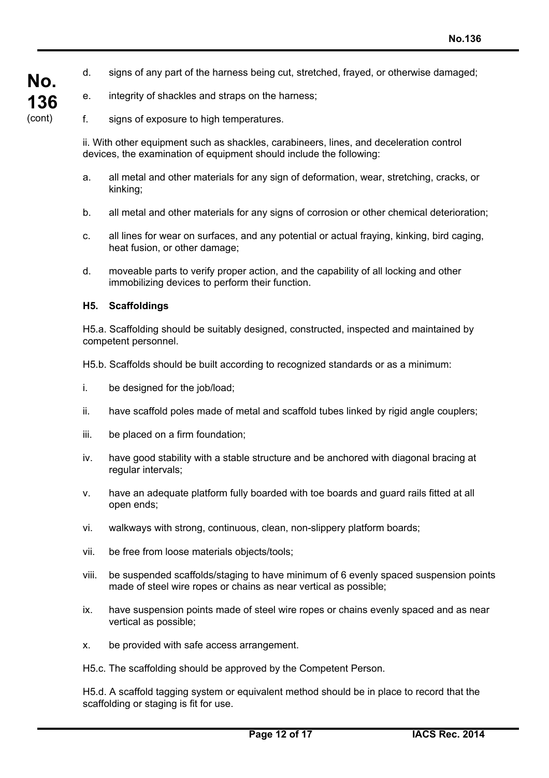- d. signs of any part of the harness being cut, stretched, frayed, or otherwise damaged;
- e. integrity of shackles and straps on the harness;
- f. signs of exposure to high temperatures.

ii. With other equipment such as shackles, carabineers, lines, and deceleration control devices, the examination of equipment should include the following:

- a. all metal and other materials for any sign of deformation, wear, stretching, cracks, or kinking;
- b. all metal and other materials for any signs of corrosion or other chemical deterioration;
- c. all lines for wear on surfaces, and any potential or actual fraying, kinking, bird caging, heat fusion, or other damage;
- d. moveable parts to verify proper action, and the capability of all locking and other immobilizing devices to perform their function.

#### **H5. Scaffoldings**

**No.**

**136** (cont)

> H5.a. Scaffolding should be suitably designed, constructed, inspected and maintained by competent personnel.

H5.b. Scaffolds should be built according to recognized standards or as a minimum:

- i. be designed for the job/load;
- ii. have scaffold poles made of metal and scaffold tubes linked by rigid angle couplers;
- iii. be placed on a firm foundation;
- iv. have good stability with a stable structure and be anchored with diagonal bracing at regular intervals;
- v. have an adequate platform fully boarded with toe boards and guard rails fitted at all open ends;
- vi. walkways with strong, continuous, clean, non-slippery platform boards;
- vii. be free from loose materials objects/tools;
- viii. be suspended scaffolds/staging to have minimum of 6 evenly spaced suspension points made of steel wire ropes or chains as near vertical as possible;
- ix. have suspension points made of steel wire ropes or chains evenly spaced and as near vertical as possible;
- x. be provided with safe access arrangement.

H5.c. The scaffolding should be approved by the Competent Person.

H5.d. A scaffold tagging system or equivalent method should be in place to record that the scaffolding or staging is fit for use.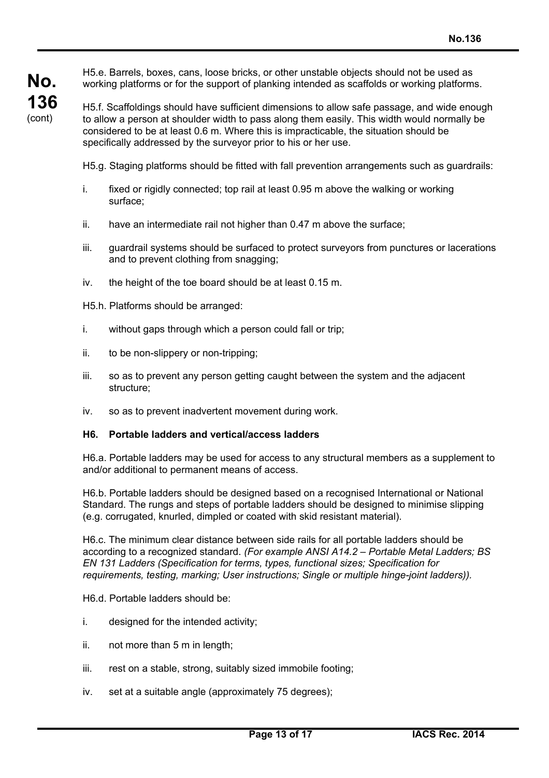**No. 136** (cont)

H5.e. Barrels, boxes, cans, loose bricks, or other unstable objects should not be used as working platforms or for the support of planking intended as scaffolds or working platforms.

H5.f. Scaffoldings should have sufficient dimensions to allow safe passage, and wide enough to allow a person at shoulder width to pass along them easily. This width would normally be considered to be at least 0.6 m. Where this is impracticable, the situation should be specifically addressed by the surveyor prior to his or her use.

H5.g. Staging platforms should be fitted with fall prevention arrangements such as guardrails:

- i. fixed or rigidly connected; top rail at least 0.95 m above the walking or working surface;
- ii. have an intermediate rail not higher than 0.47 m above the surface;
- iii. guardrail systems should be surfaced to protect surveyors from punctures or lacerations and to prevent clothing from snagging;
- iv. the height of the toe board should be at least 0.15 m.
- H5.h. Platforms should be arranged:
- i. without gaps through which a person could fall or trip;
- ii. to be non-slippery or non-tripping;
- iii. so as to prevent any person getting caught between the system and the adjacent structure;
- iv. so as to prevent inadvertent movement during work.

#### **H6. Portable ladders and vertical/access ladders**

H6.a. Portable ladders may be used for access to any structural members as a supplement to and/or additional to permanent means of access.

H6.b. Portable ladders should be designed based on a recognised International or National Standard. The rungs and steps of portable ladders should be designed to minimise slipping (e.g. corrugated, knurled, dimpled or coated with skid resistant material).

H6.c. The minimum clear distance between side rails for all portable ladders should be according to a recognized standard. *(For example ANSI A14.2 – Portable Metal Ladders; BS EN 131 Ladders (Specification for terms, types, functional sizes; Specification for requirements, testing, marking; User instructions; Single or multiple hinge-joint ladders)).*

H6.d. Portable ladders should be:

- i. designed for the intended activity;
- ii. not more than 5 m in length;
- iii. rest on a stable, strong, suitably sized immobile footing;
- iv. set at a suitable angle (approximately 75 degrees);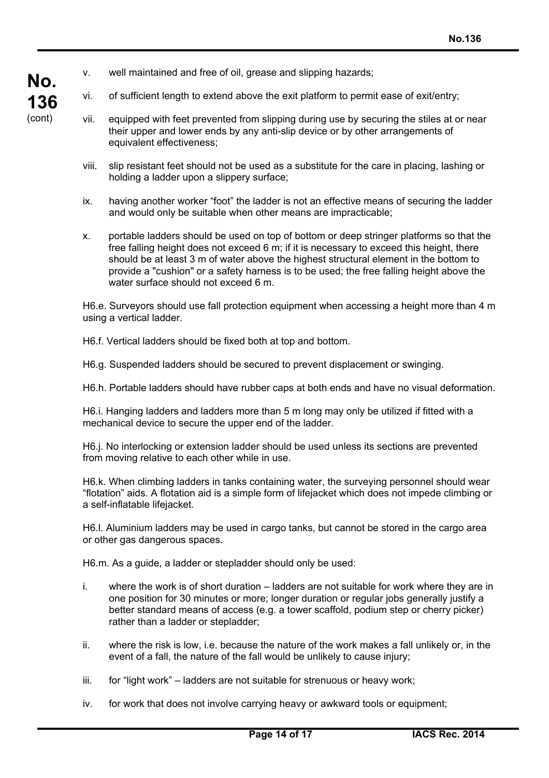- v. well maintained and free of oil, grease and slipping hazards;
- vi. of sufficient length to extend above the exit platform to permit ease of exit/entry;
- **No. 136** (cont)
- vii. equipped with feet prevented from slipping during use by securing the stiles at or near their upper and lower ends by any anti-slip device or by other arrangements of equivalent effectiveness;
- viii. slip resistant feet should not be used as a substitute for the care in placing, lashing or holding a ladder upon a slippery surface;
- ix. having another worker "foot" the ladder is not an effective means of securing the ladder and would only be suitable when other means are impracticable;
- x. portable ladders should be used on top of bottom or deep stringer platforms so that the free falling height does not exceed 6 m; if it is necessary to exceed this height, there should be at least 3 m of water above the highest structural element in the bottom to provide a "cushion" or a safety harness is to be used; the free falling height above the water surface should not exceed 6 m.

H6.e. Surveyors should use fall protection equipment when accessing a height more than 4 m using a vertical ladder.

H6.f. Vertical ladders should be fixed both at top and bottom.

H6.g. Suspended ladders should be secured to prevent displacement or swinging.

H6.h. Portable ladders should have rubber caps at both ends and have no visual deformation.

H6.i. Hanging ladders and ladders more than 5 m long may only be utilized if fitted with a mechanical device to secure the upper end of the ladder.

H6.j. No interlocking or extension ladder should be used unless its sections are prevented from moving relative to each other while in use.

H6.k. When climbing ladders in tanks containing water, the surveying personnel should wear "flotation" aids. A flotation aid is a simple form of lifejacket which does not impede climbing or a self-inflatable lifejacket.

H6.l. Aluminium ladders may be used in cargo tanks, but cannot be stored in the cargo area or other gas dangerous spaces.

H6.m. As a guide, a ladder or stepladder should only be used:

- i. where the work is of short duration ladders are not suitable for work where they are in one position for 30 minutes or more; longer duration or regular jobs generally justify a better standard means of access (e.g. a tower scaffold, podium step or cherry picker) rather than a ladder or stepladder;
- ii. where the risk is low, i.e. because the nature of the work makes a fall unlikely or, in the event of a fall, the nature of the fall would be unlikely to cause injury;
- iii. for "light work" ladders are not suitable for strenuous or heavy work;
- iv. for work that does not involve carrying heavy or awkward tools or equipment;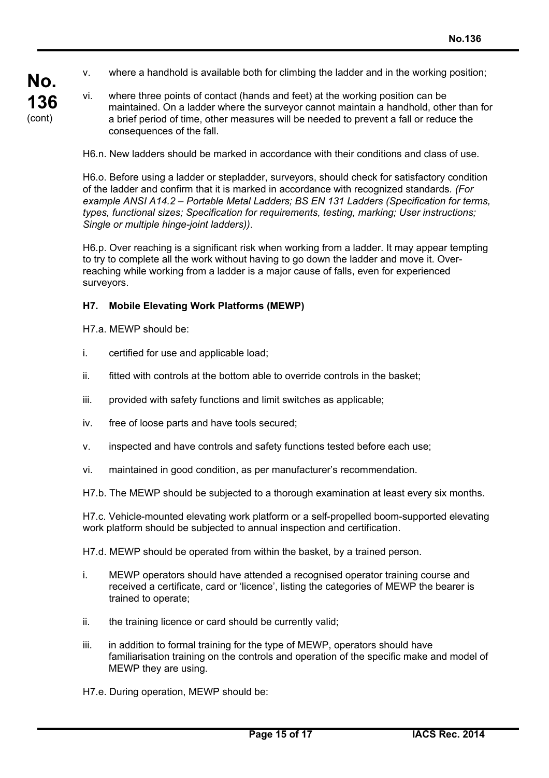- v. where a handhold is available both for climbing the ladder and in the working position;
- **No. 136** (cont)
- vi. where three points of contact (hands and feet) at the working position can be maintained. On a ladder where the surveyor cannot maintain a handhold, other than for a brief period of time, other measures will be needed to prevent a fall or reduce the consequences of the fall.

H6.n. New ladders should be marked in accordance with their conditions and class of use.

H6.o. Before using a ladder or stepladder, surveyors, should check for satisfactory condition of the ladder and confirm that it is marked in accordance with recognized standards*. (For example ANSI A14.2 – Portable Metal Ladders; BS EN 131 Ladders (Specification for terms, types, functional sizes; Specification for requirements, testing, marking; User instructions; Single or multiple hinge-joint ladders))*.

H6.p. Over reaching is a significant risk when working from a ladder. It may appear tempting to try to complete all the work without having to go down the ladder and move it. Overreaching while working from a ladder is a major cause of falls, even for experienced surveyors.

#### **H7. Mobile Elevating Work Platforms (MEWP)**

H7.a. MEWP should be:

- i. certified for use and applicable load;
- ii. fitted with controls at the bottom able to override controls in the basket;
- iii. provided with safety functions and limit switches as applicable;
- iv. free of loose parts and have tools secured;
- v. inspected and have controls and safety functions tested before each use;
- vi. maintained in good condition, as per manufacturer's recommendation.
- H7.b. The MEWP should be subjected to a thorough examination at least every six months.

H7.c. Vehicle-mounted elevating work platform or a self-propelled boom-supported elevating work platform should be subjected to annual inspection and certification.

H7.d. MEWP should be operated from within the basket, by a trained person.

- i. MEWP operators should have attended a recognised operator training course and received a certificate, card or 'licence', listing the categories of MEWP the bearer is trained to operate;
- ii. the training licence or card should be currently valid;
- iii. in addition to formal training for the type of MEWP, operators should have familiarisation training on the controls and operation of the specific make and model of MEWP they are using.

H7.e. During operation, MEWP should be: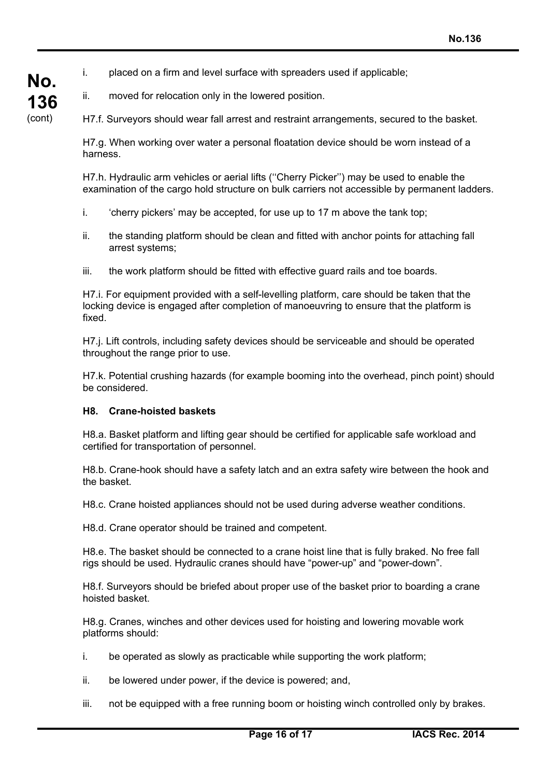i. placed on a firm and level surface with spreaders used if applicable;

ii. moved for relocation only in the lowered position.

**No.**

**136** (cont)

H7.f. Surveyors should wear fall arrest and restraint arrangements, secured to the basket.

H7.g. When working over water a personal floatation device should be worn instead of a harness.

H7.h. Hydraulic arm vehicles or aerial lifts (''Cherry Picker'') may be used to enable the examination of the cargo hold structure on bulk carriers not accessible by permanent ladders.

- i. 'cherry pickers' may be accepted, for use up to 17 m above the tank top;
- ii. the standing platform should be clean and fitted with anchor points for attaching fall arrest systems;
- iii. the work platform should be fitted with effective guard rails and toe boards.

H7.i. For equipment provided with a self-levelling platform, care should be taken that the locking device is engaged after completion of manoeuvring to ensure that the platform is fixed.

H7.j. Lift controls, including safety devices should be serviceable and should be operated throughout the range prior to use.

H7.k. Potential crushing hazards (for example booming into the overhead, pinch point) should be considered.

#### **H8. Crane-hoisted baskets**

H8.a. Basket platform and lifting gear should be certified for applicable safe workload and certified for transportation of personnel.

H8.b. Crane-hook should have a safety latch and an extra safety wire between the hook and the basket.

H8.c. Crane hoisted appliances should not be used during adverse weather conditions.

H8.d. Crane operator should be trained and competent.

H8.e. The basket should be connected to a crane hoist line that is fully braked. No free fall rigs should be used. Hydraulic cranes should have "power-up" and "power-down".

H8.f. Surveyors should be briefed about proper use of the basket prior to boarding a crane hoisted basket.

H8.g. Cranes, winches and other devices used for hoisting and lowering movable work platforms should:

- i. be operated as slowly as practicable while supporting the work platform;
- ii. be lowered under power, if the device is powered; and,
- iii. not be equipped with a free running boom or hoisting winch controlled only by brakes.